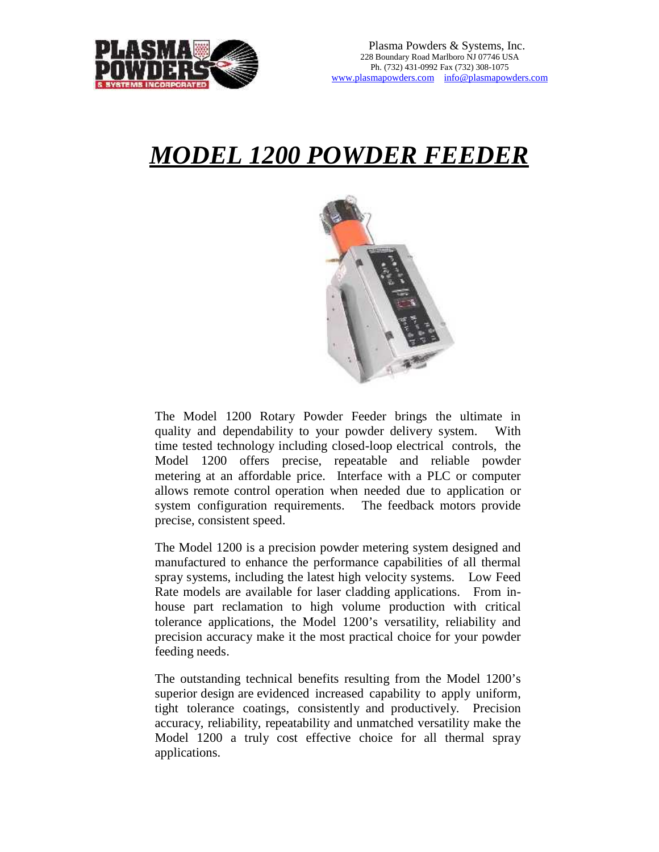# MODEL 1200 POWDER FEEDER

The Model 1200 Rotary Powder Feeder brings the ultimate in quality and dependability to your powder delivery system. With time tested technology including closed-loop electrical controls, the Model 1200 offers precise, repeatable and reliable powder metering at an affordable price. Interface with a PLC or computer allows remote control operation when needed due to application or system configuration requirements. The feedback motors provide precise, consistent speed.

The Model1200is a precision powder metering systemdesigned and manufactured to enhance the performance capabilities of all thermal spray systems,includingthelatest high velocity systems. Low Feed Rate modelsare available for laser cladding applications. From inhouse part reclamation to high volume production with critical tolerance applications, the Model 1200€sversatility, reliability and precision accuracy makeit the most pactical choice for your powder feeding needs.

The outstanding technical benefits resulting from the Model 1200 $\epsilon$ s superior design are evidenced increased capability to apply uniform, tight tolerance coatings, consistently and productively. Precision accuracy, reliability, repeatability and unmathed versatility makethe Model 1200 a truly cost effective choice for all thermal spray applications.